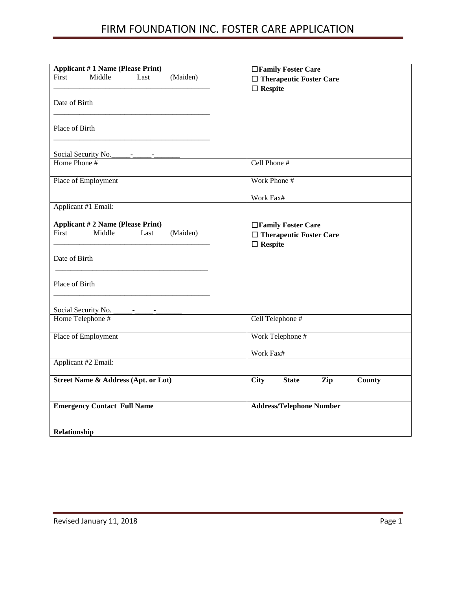| <b>Applicant #1 Name (Please Print)</b><br>First<br>Middle<br>(Maiden)<br>Last<br>Date of Birth<br>Place of Birth | □Family Foster Care<br>$\Box$ Therapeutic Foster Care<br>$\Box$ Respite |
|-------------------------------------------------------------------------------------------------------------------|-------------------------------------------------------------------------|
| Social Security No.                                                                                               |                                                                         |
| Home Phone #                                                                                                      | Cell Phone #                                                            |
| Place of Employment                                                                                               | Work Phone #                                                            |
|                                                                                                                   | Work Fax#                                                               |
| Applicant #1 Email:                                                                                               |                                                                         |
| <b>Applicant #2 Name (Please Print)</b><br>First<br>Middle<br>Last<br>(Maiden)                                    | □Family Foster Care<br>$\Box$ Therapeutic Foster Care<br>$\Box$ Respite |
| Date of Birth                                                                                                     |                                                                         |
| Place of Birth                                                                                                    |                                                                         |
|                                                                                                                   |                                                                         |
| Home Telephone #                                                                                                  | Cell Telephone #                                                        |
| Place of Employment                                                                                               | Work Telephone #                                                        |
|                                                                                                                   | Work Fax#                                                               |
| Applicant #2 Email:                                                                                               |                                                                         |
| <b>Street Name &amp; Address (Apt. or Lot)</b>                                                                    | County<br><b>City</b><br><b>State</b><br>Zip                            |
| <b>Emergency Contact Full Name</b>                                                                                | <b>Address/Telephone Number</b>                                         |
| Relationship                                                                                                      |                                                                         |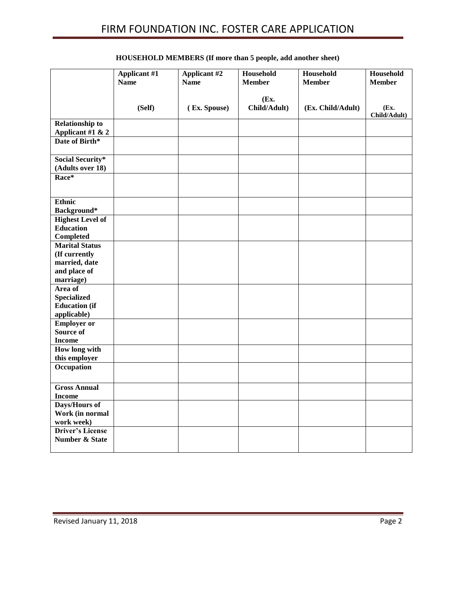|                                                                      | Applicant #1<br><b>Name</b> | Applicant #2<br><b>Name</b> | Household<br><b>Member</b> | Household<br><b>Member</b> | Household<br><b>Member</b> |
|----------------------------------------------------------------------|-----------------------------|-----------------------------|----------------------------|----------------------------|----------------------------|
|                                                                      |                             |                             |                            |                            |                            |
|                                                                      | (Self)                      | (Ex. Spouse)                | (Ex.<br>Child/Adult)       | (Ex. Child/Adult)          | (Ex.<br>Child/Adult)       |
| <b>Relationship to</b><br>Applicant #1 & 2                           |                             |                             |                            |                            |                            |
| Date of Birth*                                                       |                             |                             |                            |                            |                            |
| <b>Social Security*</b>                                              |                             |                             |                            |                            |                            |
| (Adults over 18)                                                     |                             |                             |                            |                            |                            |
| Race*                                                                |                             |                             |                            |                            |                            |
| <b>Ethnic</b><br>Background*                                         |                             |                             |                            |                            |                            |
| <b>Highest Level of</b><br><b>Education</b><br><b>Completed</b>      |                             |                             |                            |                            |                            |
| <b>Marital Status</b><br>(If currently                               |                             |                             |                            |                            |                            |
| married, date<br>and place of<br>marriage)                           |                             |                             |                            |                            |                            |
| Area of<br><b>Specialized</b><br><b>Education</b> (if<br>applicable) |                             |                             |                            |                            |                            |
| <b>Employer or</b><br><b>Source of</b><br><b>Income</b>              |                             |                             |                            |                            |                            |
| How long with<br>this employer                                       |                             |                             |                            |                            |                            |
| Occupation                                                           |                             |                             |                            |                            |                            |
| <b>Gross Annual</b><br><b>Income</b>                                 |                             |                             |                            |                            |                            |
| Days/Hours of<br>Work (in normal<br>work week)                       |                             |                             |                            |                            |                            |
| <b>Driver's License</b><br><b>Number &amp; State</b>                 |                             |                             |                            |                            |                            |

### **HOUSEHOLD MEMBERS (If more than 5 people, add another sheet)**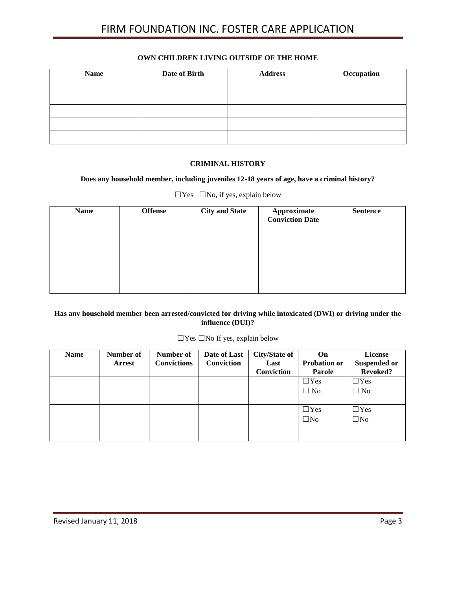#### **OWN CHILDREN LIVING OUTSIDE OF THE HOME**

| <b>Name</b> | Date of Birth | <b>Address</b> | Occupation |
|-------------|---------------|----------------|------------|
|             |               |                |            |
|             |               |                |            |
|             |               |                |            |
|             |               |                |            |
|             |               |                |            |
|             |               |                |            |

#### **CRIMINAL HISTORY**

#### **Does any household member, including juveniles 12-18 years of age, have a criminal history?**

| <b>Offense</b> | <b>City and State</b> | <b>Sentence</b>                              |
|----------------|-----------------------|----------------------------------------------|
|                |                       |                                              |
|                |                       |                                              |
|                |                       |                                              |
|                |                       |                                              |
|                |                       |                                              |
|                |                       | <b>Approximate</b><br><b>Conviction Date</b> |

 $\Box$  Yes  $\Box$  No, if yes, explain below

### **Has any household member been arrested/convicted for driving while intoxicated (DWI) or driving under the influence (DUI)?**

#### ☐Yes ☐No If yes, explain below

| <b>Name</b> | Number of<br><b>Arrest</b> | Number of<br><b>Convictions</b> | Date of Last<br>Conviction | <b>City/State of</b><br>Last | <b>On</b><br><b>Probation or</b> | License<br><b>Suspended or</b> |
|-------------|----------------------------|---------------------------------|----------------------------|------------------------------|----------------------------------|--------------------------------|
|             |                            |                                 |                            | Conviction                   | Parole                           | <b>Revoked?</b>                |
|             |                            |                                 |                            |                              | $\Box$ Yes                       | $\Box$ Yes                     |
|             |                            |                                 |                            |                              | $\Box$ No                        | $\Box$ No                      |
|             |                            |                                 |                            |                              |                                  |                                |
|             |                            |                                 |                            |                              | $\Box$ Yes                       | $\Box$ Yes                     |
|             |                            |                                 |                            |                              | $\square$ No                     | $\square$ No                   |
|             |                            |                                 |                            |                              |                                  |                                |
|             |                            |                                 |                            |                              |                                  |                                |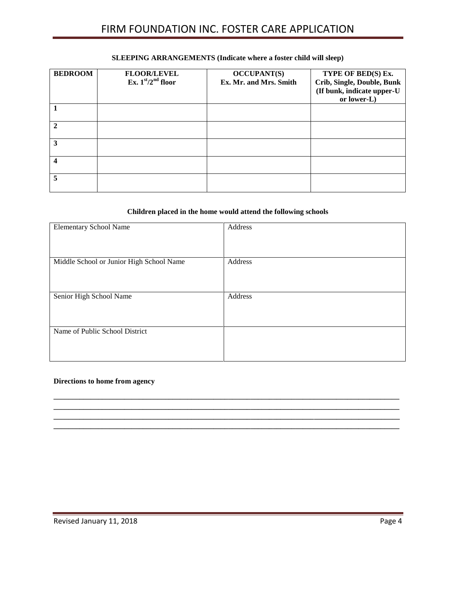### **BEDROOM FLOOR/LEVEL Ex. 1st/2nd floor OCCUPANT(S) Ex. Mr. and Mrs. Smith TYPE OF BED(S) Ex. Crib, Single, Double, Bunk (If bunk, indicate upper-U or lower-L) 1 2 3 4 5**

#### **SLEEPING ARRANGEMENTS (Indicate where a foster child will sleep)**

## **Children placed in the home would attend the following schools**

| <b>Elementary School Name</b>            | Address |
|------------------------------------------|---------|
|                                          |         |
|                                          |         |
|                                          |         |
| Middle School or Junior High School Name | Address |
|                                          |         |
|                                          |         |
|                                          |         |
| Senior High School Name                  | Address |
|                                          |         |
|                                          |         |
|                                          |         |
| Name of Public School District           |         |
|                                          |         |
|                                          |         |
|                                          |         |

**\_\_\_\_\_\_\_\_\_\_\_\_\_\_\_\_\_\_\_\_\_\_\_\_\_\_\_\_\_\_\_\_\_\_\_\_\_\_\_\_\_\_\_\_\_\_\_\_\_\_\_\_\_\_\_\_\_\_\_\_\_\_\_\_\_\_\_\_\_\_\_\_\_\_\_\_\_\_\_\_\_\_\_\_\_\_\_\_\_\_\_\_\_ \_\_\_\_\_\_\_\_\_\_\_\_\_\_\_\_\_\_\_\_\_\_\_\_\_\_\_\_\_\_\_\_\_\_\_\_\_\_\_\_\_\_\_\_\_\_\_\_\_\_\_\_\_\_\_\_\_\_\_\_\_\_\_\_\_\_\_\_\_\_\_\_\_\_\_\_\_\_\_\_\_\_\_\_\_\_\_\_\_\_\_\_\_ \_\_\_\_\_\_\_\_\_\_\_\_\_\_\_\_\_\_\_\_\_\_\_\_\_\_\_\_\_\_\_\_\_\_\_\_\_\_\_\_\_\_\_\_\_\_\_\_\_\_\_\_\_\_\_\_\_\_\_\_\_\_\_\_\_\_\_\_\_\_\_\_\_\_\_\_\_\_\_\_\_\_\_\_\_\_\_\_\_\_\_\_\_ \_\_\_\_\_\_\_\_\_\_\_\_\_\_\_\_\_\_\_\_\_\_\_\_\_\_\_\_\_\_\_\_\_\_\_\_\_\_\_\_\_\_\_\_\_\_\_\_\_\_\_\_\_\_\_\_\_\_\_\_\_\_\_\_\_\_\_\_\_\_\_\_\_\_\_\_\_\_\_\_\_\_\_\_\_\_\_\_\_\_\_\_\_**

### **Directions to home from agency**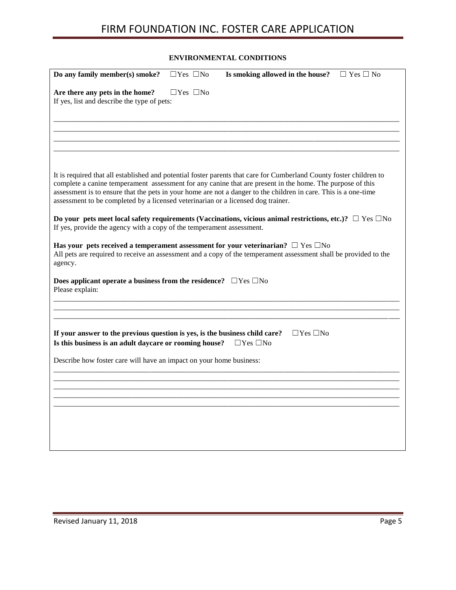### **ENVIRONMENTAL CONDITIONS**

| Do any family member(s) smoke?                                                                                                        | $\Box$ Yes $\Box$ No | Is smoking allowed in the house?                                                                                                                                                                                                                                                                                                                    | $\Box$ Yes $\Box$ No |
|---------------------------------------------------------------------------------------------------------------------------------------|----------------------|-----------------------------------------------------------------------------------------------------------------------------------------------------------------------------------------------------------------------------------------------------------------------------------------------------------------------------------------------------|----------------------|
| Are there any pets in the home?<br>If yes, list and describe the type of pets:                                                        | $\Box$ Yes $\Box$ No |                                                                                                                                                                                                                                                                                                                                                     |                      |
|                                                                                                                                       |                      |                                                                                                                                                                                                                                                                                                                                                     |                      |
| assessment to be completed by a licensed veterinarian or a licensed dog trainer.                                                      |                      | It is required that all established and potential foster parents that care for Cumberland County foster children to<br>complete a canine temperament assessment for any canine that are present in the home. The purpose of this<br>assessment is to ensure that the pets in your home are not a danger to the children in care. This is a one-time |                      |
| If yes, provide the agency with a copy of the temperament assessment.                                                                 |                      | Do your pets meet local safety requirements (Vaccinations, vicious animal restrictions, etc.)? $\Box$ Yes $\Box$ No                                                                                                                                                                                                                                 |                      |
| agency.                                                                                                                               |                      | Has your pets received a temperament assessment for your veterinarian? $\square$ Yes $\square$ No<br>All pets are required to receive an assessment and a copy of the temperament assessment shall be provided to the                                                                                                                               |                      |
| Does applicant operate a business from the residence? $\Box$ Yes $\Box$ No<br>Please explain:                                         |                      |                                                                                                                                                                                                                                                                                                                                                     |                      |
|                                                                                                                                       |                      |                                                                                                                                                                                                                                                                                                                                                     |                      |
| If your answer to the previous question is yes, is the business child care?<br>Is this business is an adult daycare or rooming house? |                      | $\Box$ Yes $\Box$ No<br>$\Box$ Yes $\Box$ No                                                                                                                                                                                                                                                                                                        |                      |
|                                                                                                                                       |                      |                                                                                                                                                                                                                                                                                                                                                     |                      |
|                                                                                                                                       |                      |                                                                                                                                                                                                                                                                                                                                                     |                      |
|                                                                                                                                       |                      |                                                                                                                                                                                                                                                                                                                                                     |                      |
| Describe how foster care will have an impact on your home business:                                                                   |                      |                                                                                                                                                                                                                                                                                                                                                     |                      |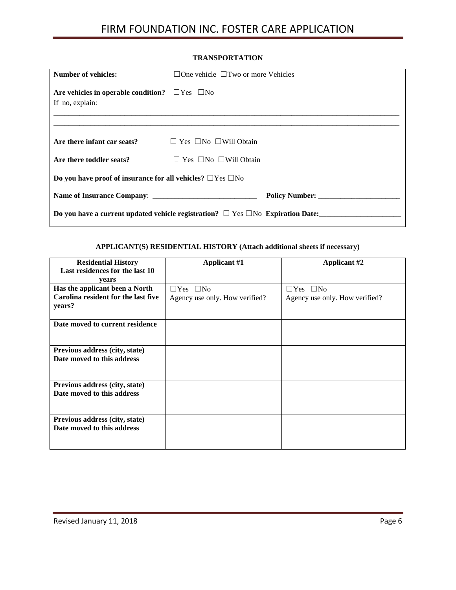#### **TRANSPORTATION**

| <b>Number of vehicles:</b>                                                   | $\Box$ One vehicle $\Box$ Two or more Vehicles                                            |
|------------------------------------------------------------------------------|-------------------------------------------------------------------------------------------|
| Are vehicles in operable condition? $\Box$ Yes $\Box$ No<br>If no, explain:  |                                                                                           |
|                                                                              |                                                                                           |
| Are there infant car seats? $\square$ Yes $\square$ No $\square$ Will Obtain |                                                                                           |
| Are there toddler seats?                                                     | $\Box$ Yes $\Box$ No $\Box$ Will Obtain                                                   |
| Do you have proof of insurance for all vehicles? $\Box$ Yes $\Box$ No        |                                                                                           |
|                                                                              | Policy Number:                                                                            |
|                                                                              | Do you have a current updated vehicle registration? $\Box$ Yes $\Box$ No Expiration Date: |

#### **APPLICANT(S) RESIDENTIAL HISTORY (Attach additional sheets if necessary)**

| <b>Residential History</b>          | <b>Applicant #1</b>            | <b>Applicant #2</b>            |
|-------------------------------------|--------------------------------|--------------------------------|
| Last residences for the last 10     |                                |                                |
| years                               |                                |                                |
| Has the applicant been a North      | $\Box$ Yes $\Box$ No           | $\Box$ Yes $\Box$ No           |
| Carolina resident for the last five | Agency use only. How verified? | Agency use only. How verified? |
| years?                              |                                |                                |
|                                     |                                |                                |
| Date moved to current residence     |                                |                                |
|                                     |                                |                                |
|                                     |                                |                                |
| Previous address (city, state)      |                                |                                |
| Date moved to this address          |                                |                                |
|                                     |                                |                                |
|                                     |                                |                                |
| Previous address (city, state)      |                                |                                |
| Date moved to this address          |                                |                                |
|                                     |                                |                                |
|                                     |                                |                                |
| Previous address (city, state)      |                                |                                |
| Date moved to this address          |                                |                                |
|                                     |                                |                                |
|                                     |                                |                                |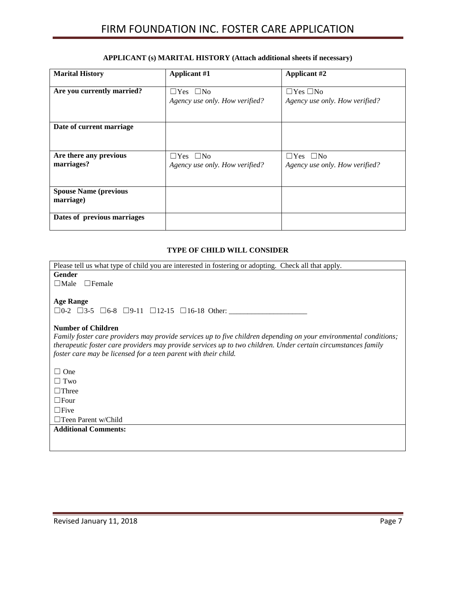### **APPLICANT (s) MARITAL HISTORY (Attach additional sheets if necessary)**

| <b>Marital History</b>       | <b>Applicant #1</b>            | <b>Applicant #2</b>            |
|------------------------------|--------------------------------|--------------------------------|
|                              |                                |                                |
| Are you currently married?   | $\Box$ Yes $\Box$ No           | $\Box$ Yes $\Box$ No           |
|                              | Agency use only. How verified? | Agency use only. How verified? |
|                              |                                |                                |
|                              |                                |                                |
| Date of current marriage     |                                |                                |
|                              |                                |                                |
|                              |                                |                                |
| Are there any previous       | $\Box$ Yes $\Box$ No           | $\Box$ Yes $\Box$ No           |
| marriages?                   | Agency use only. How verified? | Agency use only. How verified? |
|                              |                                |                                |
|                              |                                |                                |
| <b>Spouse Name (previous</b> |                                |                                |
| marriage)                    |                                |                                |
|                              |                                |                                |
| Dates of previous marriages  |                                |                                |
|                              |                                |                                |

### **TYPE OF CHILD WILL CONSIDER**

| Please tell us what type of child you are interested in fostering or adopting. Check all that apply.              |
|-------------------------------------------------------------------------------------------------------------------|
| <b>Gender</b>                                                                                                     |
| $\Box$ Male<br>$\Box$ Female                                                                                      |
|                                                                                                                   |
| <b>Age Range</b>                                                                                                  |
| $\Box$ 0-2 $\Box$ 3-5 $\Box$ 6-8 $\Box$ 9-11 $\Box$ 12-15 $\Box$ 16-18 Other:                                     |
|                                                                                                                   |
| <b>Number of Children</b>                                                                                         |
| Family foster care providers may provide services up to five children depending on your environmental conditions; |
| therapeutic foster care providers may provide services up to two children. Under certain circumstances family     |
| foster care may be licensed for a teen parent with their child.                                                   |
|                                                                                                                   |
| $\Box$ One                                                                                                        |
| $\Box$ Two                                                                                                        |
| $\Box$ Three                                                                                                      |
| $\Box$ Four                                                                                                       |
| $\Box$ Five                                                                                                       |
| $\Box$ Teen Parent w/Child                                                                                        |
| <b>Additional Comments:</b>                                                                                       |
|                                                                                                                   |
|                                                                                                                   |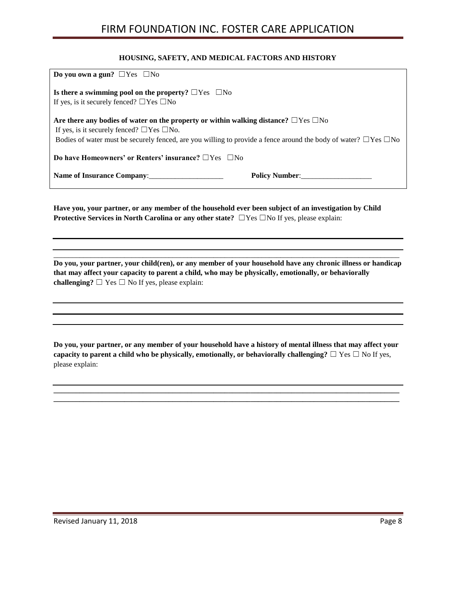#### **HOUSING, SAFETY, AND MEDICAL FACTORS AND HISTORY**

| Do you own a gun? $\Box$ Yes $\Box$ No                                                                                                                                                                                                                                                     |
|--------------------------------------------------------------------------------------------------------------------------------------------------------------------------------------------------------------------------------------------------------------------------------------------|
| Is there a swimming pool on the property? $\Box$ Yes $\Box$ No<br>If yes, is it securely fenced? $\Box$ Yes $\Box$ No                                                                                                                                                                      |
| Are there any bodies of water on the property or within walking distance? $\square$ Yes $\square$ No<br>If yes, is it securely fenced? $\Box$ Yes $\Box$ No.<br>Bodies of water must be securely fenced, are you willing to provide a fence around the body of water? $\Box$ Yes $\Box$ No |
| Do have Homeowners' or Renters' insurance? $\Box$ Yes $\Box$ No                                                                                                                                                                                                                            |
| Name of Insurance Company:<br>Policy Number:                                                                                                                                                                                                                                               |

**Have you, your partner, or any member of the household ever been subject of an investigation by Child Protective Services in North Carolina or any other state?** ☐Yes ☐No If yes, please explain:

**Do you, your partner, your child(ren), or any member of your household have any chronic illness or handicap that may affect your capacity to parent a child, who may be physically, emotionally, or behaviorally challenging?**  $\Box$  Yes  $\Box$  No If yes, please explain:

 $\_$  ,  $\_$  ,  $\_$  ,  $\_$  ,  $\_$  ,  $\_$  ,  $\_$  ,  $\_$  ,  $\_$  ,  $\_$  ,  $\_$  ,  $\_$  ,  $\_$  ,  $\_$  ,  $\_$  ,  $\_$  ,  $\_$  ,  $\_$  ,  $\_$  ,  $\_$  ,  $\_$  ,  $\_$  ,  $\_$  ,  $\_$  ,  $\_$  ,  $\_$  ,  $\_$  ,  $\_$  ,  $\_$  ,  $\_$  ,  $\_$  ,  $\_$  ,  $\_$  ,  $\_$  ,  $\_$  ,  $\_$  ,  $\_$  ,

**Do you, your partner, or any member of your household have a history of mental illness that may affect your capacity to parent a child who be physically, emotionally, or behaviorally challenging?**  $\Box$  Yes  $\Box$  No If yes, please explain:

**\_\_\_\_\_\_\_\_\_\_\_\_\_\_\_\_\_\_\_\_\_\_\_\_\_\_\_\_\_\_\_\_\_\_\_\_\_\_\_\_\_\_\_\_\_\_\_\_\_\_\_\_\_\_\_\_\_\_\_\_\_\_\_\_\_\_\_\_\_\_\_\_\_\_\_\_\_\_\_\_\_\_\_\_\_\_\_\_\_\_\_\_\_ \_\_\_\_\_\_\_\_\_\_\_\_\_\_\_\_\_\_\_\_\_\_\_\_\_\_\_\_\_\_\_\_\_\_\_\_\_\_\_\_\_\_\_\_\_\_\_\_\_\_\_\_\_\_\_\_\_\_\_\_\_\_\_\_\_\_\_\_\_\_\_\_\_\_\_\_\_\_\_\_\_\_\_\_\_\_\_\_\_\_\_\_\_**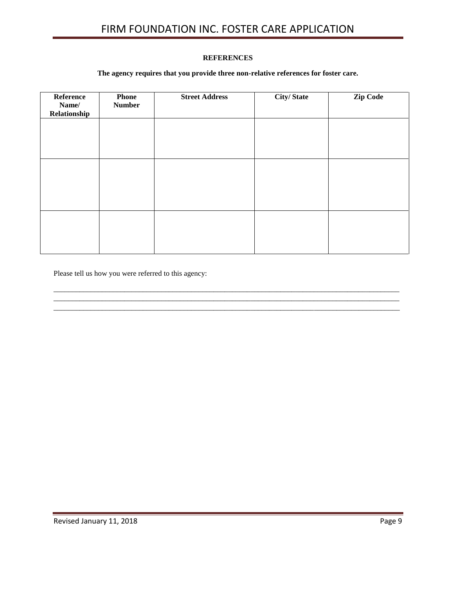### **REFERENCES**

### **The agency requires that you provide three non-relative references for foster care.**

| Reference<br>Name/<br>Relationship | <b>Phone</b><br><b>Number</b> | <b>Street Address</b> | <b>City/State</b> | <b>Zip Code</b> |
|------------------------------------|-------------------------------|-----------------------|-------------------|-----------------|
|                                    |                               |                       |                   |                 |
|                                    |                               |                       |                   |                 |
|                                    |                               |                       |                   |                 |
|                                    |                               |                       |                   |                 |
|                                    |                               |                       |                   |                 |
|                                    |                               |                       |                   |                 |
|                                    |                               |                       |                   |                 |
|                                    |                               |                       |                   |                 |

 $\_$  ,  $\_$  ,  $\_$  ,  $\_$  ,  $\_$  ,  $\_$  ,  $\_$  ,  $\_$  ,  $\_$  ,  $\_$  ,  $\_$  ,  $\_$  ,  $\_$  ,  $\_$  ,  $\_$  ,  $\_$  ,  $\_$  ,  $\_$  ,  $\_$  ,  $\_$  ,  $\_$  ,  $\_$  ,  $\_$  ,  $\_$  ,  $\_$  ,  $\_$  ,  $\_$  ,  $\_$  ,  $\_$  ,  $\_$  ,  $\_$  ,  $\_$  ,  $\_$  ,  $\_$  ,  $\_$  ,  $\_$  ,  $\_$  ,

 $\_$  ,  $\_$  ,  $\_$  ,  $\_$  ,  $\_$  ,  $\_$  ,  $\_$  ,  $\_$  ,  $\_$  ,  $\_$  ,  $\_$  ,  $\_$  ,  $\_$  ,  $\_$  ,  $\_$  ,  $\_$  ,  $\_$  ,  $\_$  ,  $\_$  ,  $\_$  ,  $\_$  ,  $\_$  ,  $\_$  ,  $\_$  ,  $\_$  ,  $\_$  ,  $\_$  ,  $\_$  ,  $\_$  ,  $\_$  ,  $\_$  ,  $\_$  ,  $\_$  ,  $\_$  ,  $\_$  ,  $\_$  ,  $\_$  ,

Please tell us how you were referred to this agency: